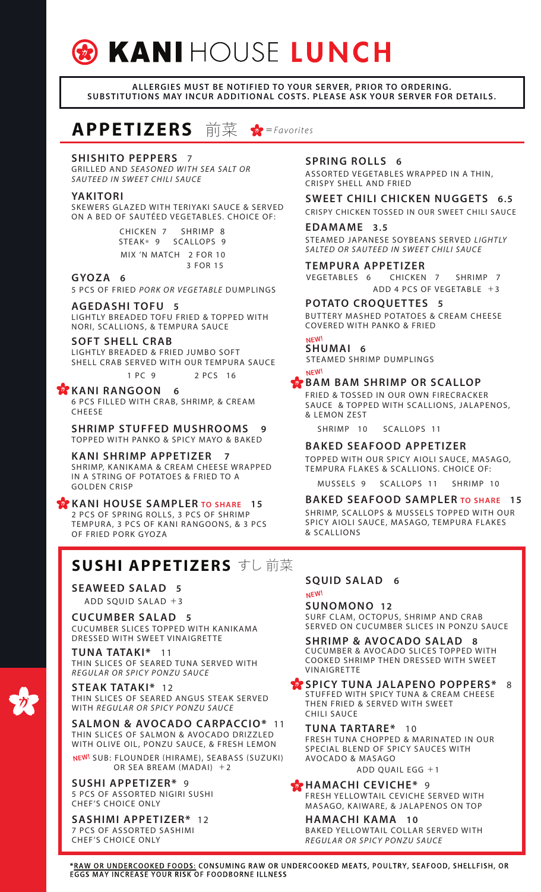# **& KANIHOUSE LUNCH**

#### ALLERGIES MUST BE NOTIFIED TO YOUR SERVER, PRIOR TO ORDERING. SUBSTITUTIONS MAY INCUR ADDITIONAL COSTS. PLEASE ASK YOUR SERVER FOR DETAILS.

**APPETIZERS** 前菜  $\overrightarrow{p}$  = *Favorites* 

#### **SHISHITO PEPPERS 7**

GRILLED AND *SEASONED WITH SEA SALT OR SAUTEED IN SWEET CHILI SAUCE*

#### YAKITORI

SKEWERS GLAZED WITH TERIYAKI SAUCE & SERVED ON A BED OF SAUTÉED VEGETABLES. CHOICE OF:

> CHICKEN 7 SHRIMP 8 STEAK\* 9 SCALLOPS 9 MIX 'N MATCH 2 FOR 10 3 FOR 15

#### GYOZA 6

5 PCS OF FRIED *PORK OR VEGETABLE* DUMPLINGS

#### **AGEDASHITOFU 5**

LIGHTLY BREADED TOFU FRIED & TOPPED WITH NORI, SCALLIONS, & TEMPURA SAUCE

#### **SOFT SHELL CRAB**

LIGHTLY BREADED & FRIED JUMBO SOFT SHELL CRAB SERVED WITH OUR TEMPURA SAUCE

1 PC 9 2 PCS 16

#### KANI RANGOON 6

6 PCS FILLED WITH CRAB, SHRIMP, & CREAM **CHEESE** 

**SHRIMP STUFFED MUSHROOMS 9** TOPPED WITH PANKO & SPICY MAYO & BAKED

#### KANI SHRIMP APPETIZER 7

SHRIMP, KANIKAMA & CREAM CHEESE WRAPPED IN A STRING OF POTATOES & FRIED TO A GOLDEN CRISP

#### KANI HOUSE SAMPLER TO SHARE 15 2 PCS OF SPRING ROLLS, 3 PCS OF SHRIMP TEMPURA, 3 PCS OF KANI RANGOONS, & 3 PCS OF FRIED PORK GYOZA

## SUSHI APPETIZERS すし 前菜

ADD SQUID SALAD +3 **SEAWEED SALAD 5** 

**CUCUMBER SALAD 5** CUCUMBER SLICES TOPPED WITH KANIKAMA DRESSED WITH SWEET VINAIGRETTE

 **\*** 11 THIN SLICES OF SEARED TUNA SERVED WITH *REGULAR OR SPICY PONZU SAUCE*

**STEAK TATAKI\*** 12 THIN SLICES OF SEARED ANGUS STEAK SERVED WITH *REGULAR OR SPICY PONZU SAUCE*

<mark>NEW!</mark> SUB: FLOUNDER (HIRAME), SEABASS (SUZUKI) OR SEA BREAM (MADAI) +2 **SALMON & AVOCADO CARPACCIO\* 11** THIN SLICES OF SALMON & AVOCADO DRIZZLED WITH OLIVE OIL, PONZU SAUCE, & FRESH LEMON

**SUSHI APPETIZER\*** 9 5 PCS OF ASSORTED NIGIRI SUSHI CHEF'S CHOICE ONLY

**SASHIMI APPETIZER\*** 12 7 PCS OF ASSORTED SASHIMI CHEF'S CHOICE ONLY

#### **SPRING ROLLS 6**

ASSORTED VEGETABLES WRAPPED IN A THIN, CRISPY SHELL AND FRIED

#### SWEET CHILI CHICKEN NUGGETS 6.5

CRISPY CHICKEN TOSSED IN OUR SWEET CHILI SAUCE

#### EDAMAME 3.5

STEAMED JAPANESE SOYBEANS SERVED *LIGHTLY SALTED OR SAUTEED IN SWEET CHILI SAUCE*

**TEMPURA APPETIZER** VEGETABLES 6 ADD 4 PCS OF VEGETABLE +3 CHICKEN 7 SHRIMP 7

### **POTATO CROQUETTES 5**

BUT TERY MASHED POTATOES & CREAM CHEESE COVERED WITH PANKO & FRIED

#### SHUMAI 6 NEW!

NEW!

STEAMED SHRIMP DUMPLINGS

#### **EX BAM BAM SHRIMP OR SCALLOP**

FRIED & TOSSED IN OUR OWN FIRECRACKER SAUCE & TOPPED WITH SCALLIONS, JALAPENOS, & LEMON ZEST

SHRIMP 10 SCALLOPS 11

#### **BAKED SEAFOOD APPETIZER**

TOPPED WITH OUR SPICY AIOLI SAUCE, MASAGO, TEMPURA FLAKES & SCALLIONS. CHOICE OF:

MUSSELS 9 SCALLOPS 11 SHRIMP 10

BAKED SEAFOOD SAMPLER TO SHARE 15 SHRIMP, SCALLOPS & MUSSELS TOPPED WITH OUR SPICY AIOLI SAUCE, MASAGO, TEMPURA FLAKES & SCALLIONS

#### SQUID SALAD 6 NEW!

#### **SUNOMONO 12**

SURF CLAM, OCTOPUS, SHRIMP AND CRAB SERVED ON CUCUMBER SLICES IN PONZU SAUCE

**SHRIMP & AVOCADO SALAD 8** CUCUMBER & AVOCADO SLICES TOPPED WITH COOKED SHRIMP THEN DRESSED WITH SWEET VINAIGRETTE

**\*\*** SPICY TUNA JALAPENO POPPERS\* 8 STUFFED WITH SPICY TUNA & CREAM CHEESE THEN FRIED & SERVED WITH SWEET CHILI SAUCE

#### **TUNA TARTARE\*** 10 FRESH TUNA CHOPPED & MARINATED IN OUR SPECIAL BLEND OF SPICY SAUCES WITH AVOCADO & MASAGO

ADD QUAIL EGG +1

**\*\*** HAMACHI CEVICHE\* 9 FRESH YELLOWTAIL CEVICHE SERVED WITH MASAGO, KAIWARE, & JALAPENOS ON TOP

HAMACHI KAMA 10 BAKED YELLOW TAIL COLLAR SERVED WITH *REGULAR OR SPICY PONZU SAUCE*

\*RAW OR UNDERCOOKED FOODS: CONSUMING RAW OR UNDERCOOKED MEATS, POULTRY, SEAFOOD, SHELLFISH, OR EGGS MAY INCREASE YOUR RISK OF FOODBORNE ILLNESS